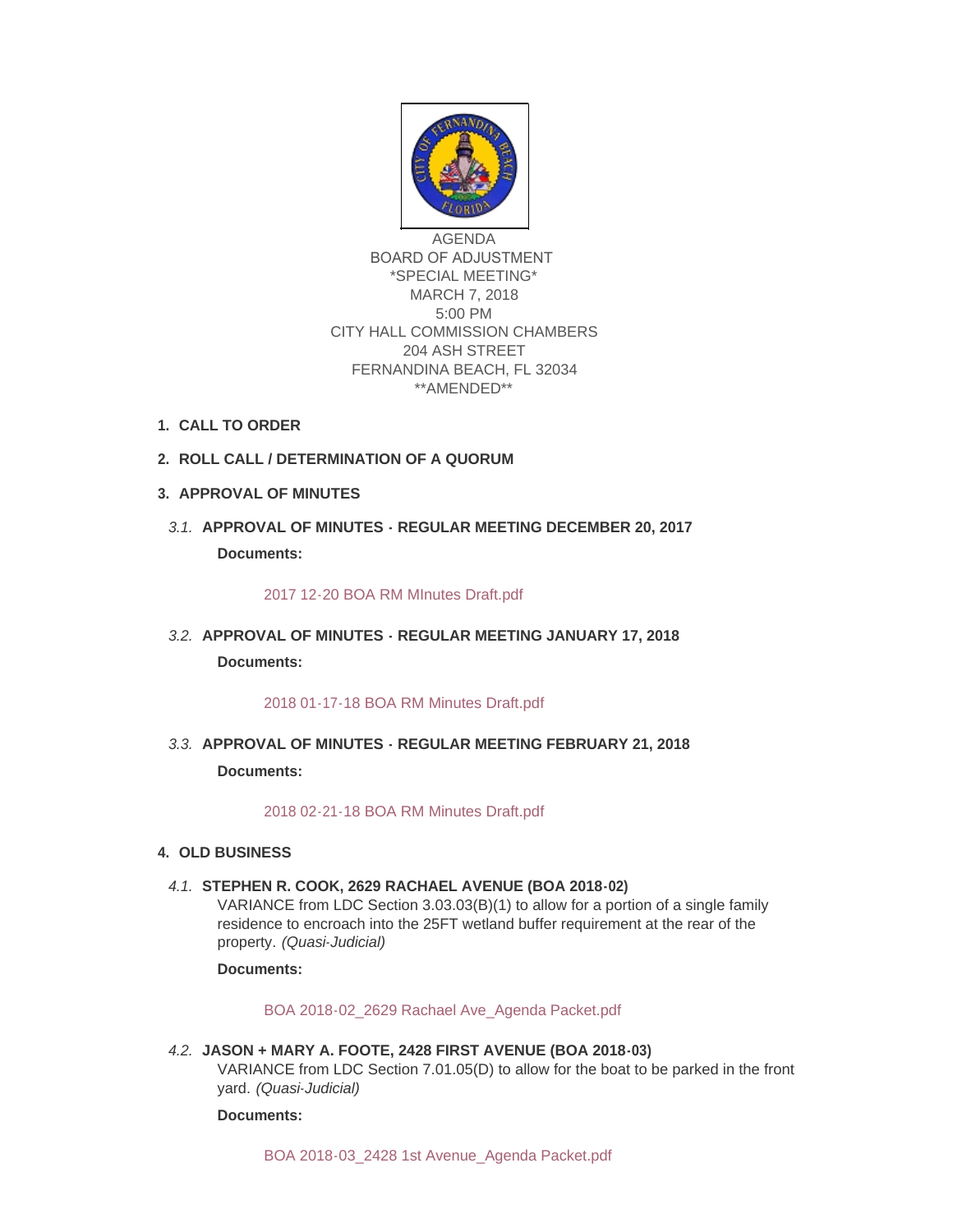

AGENDA BOARD OF ADJUSTMENT \*SPECIAL MEETING\* MARCH 7, 2018 5:00 PM CITY HALL COMMISSION CHAMBERS 204 ASH STREET FERNANDINA BEACH, FL 32034 \*\*AMENDED\*\*

- **CALL TO ORDER 1.**
- **ROLL CALL / DETERMINATION OF A QUORUM 2.**
- **APPROVAL OF MINUTES 3.**
- **APPROVAL OF MINUTES REGULAR MEETING DECEMBER 20, 2017** *3.1.* **Documents:**

## [2017 12-20 BOA RM MInutes Draft.pdf](http://fl-fernandinabeach3.civicplus.com/AgendaCenter/ViewFile/Item/8717?fileID=5569)

**APPROVAL OF MINUTES - REGULAR MEETING JANUARY 17, 2018** *3.2.* **Documents:**

## [2018 01-17-18 BOA RM Minutes Draft.pdf](http://fl-fernandinabeach3.civicplus.com/AgendaCenter/ViewFile/Item/8718?fileID=5563)

**APPROVAL OF MINUTES - REGULAR MEETING FEBRUARY 21, 2018** *3.3.* **Documents:**

[2018 02-21-18 BOA RM Minutes Draft.pdf](http://fl-fernandinabeach3.civicplus.com/AgendaCenter/ViewFile/Item/8721?fileID=5566)

- **OLD BUSINESS 4.**
	- **STEPHEN R. COOK, 2629 RACHAEL AVENUE (BOA 2018-02)** *4.1.*

VARIANCE from LDC Section 3.03.03(B)(1) to allow for a portion of a single family residence to encroach into the 25FT wetland buffer requirement at the rear of the property. *(Quasi-Judicial)*

**Documents:**

[BOA 2018-02\\_2629 Rachael Ave\\_Agenda Packet.pdf](http://fl-fernandinabeach3.civicplus.com/AgendaCenter/ViewFile/Item/8719?fileID=5564)

**JASON + MARY A. FOOTE, 2428 FIRST AVENUE (BOA 2018-03)** *4.2.* VARIANCE from LDC Section 7.01.05(D) to allow for the boat to be parked in the front yard. *(Quasi-Judicial)*

**Documents:**